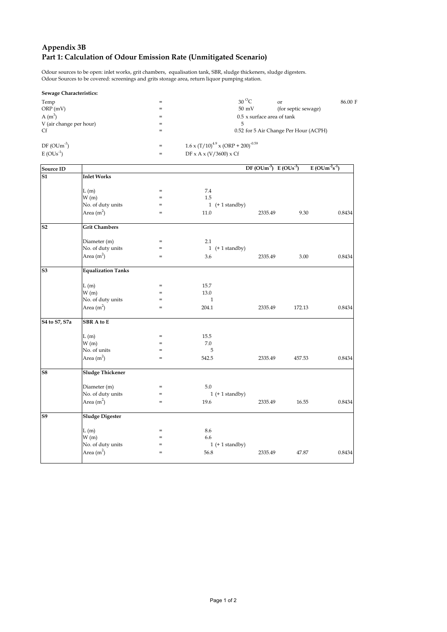# **Appendix 3B Part 1: Calculation of Odour Emission Rate (Unmitigated Scenario)**

Odour sources to be open: inlet works, grit chambers, equalisation tank, SBR, sludge thickeners, sludge digesters. Odour Sources to be covered: screenings and grits storage area, return liquor pumping station.

| <b>Sewage Characteristics:</b> |     |                                                      |                                       |         |
|--------------------------------|-----|------------------------------------------------------|---------------------------------------|---------|
| Temp                           | $=$ | $30^{\circ}$ C                                       | $\alpha$ <sup>r</sup>                 | 86.00 F |
| ORP(mV)                        | $=$ | $50 \text{ mV}$                                      | (for septic sewage)                   |         |
| $A(m^3)$                       | $=$ |                                                      | $0.5 \times$ surface area of tank     |         |
| V (air change per hour)        | $=$ |                                                      |                                       |         |
| Cf                             | $=$ |                                                      | 0.52 for 5 Air Change Per Hour (ACPH) |         |
| $DF(OUm^{-3})$                 | $=$ | $1.6 \times (T/10)^{4.9} \times (ORP + 200)^{-0.59}$ |                                       |         |
| $E(OUs-1)$                     | $=$ | DF x A x $(V/3600)$ x Cf                             |                                       |         |

| <b>Source ID</b> |                           |                                   |              |                       | DF $(OUm^3)$ E $(OUs^3)$ |        | $E (OUm-2s-1)$ |
|------------------|---------------------------|-----------------------------------|--------------|-----------------------|--------------------------|--------|----------------|
| S1               | <b>Inlet Works</b>        |                                   |              |                       |                          |        |                |
|                  |                           |                                   |              |                       |                          |        |                |
|                  | L(m)                      | $=$                               | 7.4          |                       |                          |        |                |
|                  | W(m)                      | $=$                               | 1.5          |                       |                          |        |                |
|                  | No. of duty units         | $=$                               |              | 1 $(+ 1$ standby)     |                          |        |                |
|                  | Area $(m2)$               | $=$                               | 11.0         |                       | 2335.49                  | 9.30   | 0.8434         |
| S <sub>2</sub>   | <b>Grit Chambers</b>      |                                   |              |                       |                          |        |                |
|                  | Diameter (m)              | $=$                               | 2.1          |                       |                          |        |                |
|                  | No. of duty units         | $=$                               |              | $1 (+ 1 standard by)$ |                          |        |                |
|                  | Area $(m2)$               | $=$                               | 3.6          |                       | 2335.49                  | 3.00   | 0.8434         |
| S <sub>3</sub>   | <b>Equalization Tanks</b> |                                   |              |                       |                          |        |                |
|                  | L(m)                      | $=$                               | 15.7         |                       |                          |        |                |
|                  | W(m)                      | $=$                               | 13.0         |                       |                          |        |                |
|                  | No. of duty units         | $=$                               | $\mathbf{1}$ |                       |                          |        |                |
|                  | Area $(m2)$               | $=$                               | 204.1        |                       | 2335.49                  | 172.13 | 0.8434         |
| S4 to S7, S7a    | <b>SBR</b> A to E         |                                   |              |                       |                          |        |                |
|                  | L(m)                      | $=$                               | 15.5         |                       |                          |        |                |
|                  | W(m)                      | $=$                               | 7.0          |                       |                          |        |                |
|                  | No. of units              | $=$                               | 5            |                       |                          |        |                |
|                  | Area $(m2)$               | $=$                               | 542.5        |                       | 2335.49                  | 457.53 | 0.8434         |
| S <sub>8</sub>   | <b>Sludge Thickener</b>   |                                   |              |                       |                          |        |                |
|                  | Diameter (m)              | $=$                               | 5.0          |                       |                          |        |                |
|                  | No. of duty units         | $=$                               |              | $1 (+ 1 standard by)$ |                          |        |                |
|                  | Area $(m2)$               | $=$                               | 19.6         |                       | 2335.49                  | 16.55  | 0.8434         |
| S9               | <b>Sludge Digester</b>    |                                   |              |                       |                          |        |                |
|                  | L(m)                      | $=$                               | 8.6          |                       |                          |        |                |
|                  | W(m)                      | $\hspace{1.0cm} = \hspace{1.0cm}$ | 6.6          |                       |                          |        |                |
|                  | No. of duty units         | $=$                               |              | $1 (+ 1 standard by)$ |                          |        |                |
|                  | Area $(m2)$               | $=$                               | 56.8         |                       | 2335.49                  | 47.87  | 0.8434         |
|                  |                           |                                   |              |                       |                          |        |                |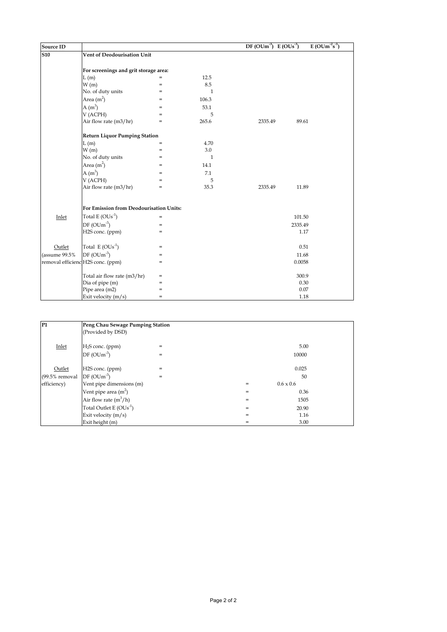| Source ID     |                                         |     |              | $DF(OUm^3) E(OUs^3)$ | $E(OUm-2s-1)$ |
|---------------|-----------------------------------------|-----|--------------|----------------------|---------------|
| <b>S10</b>    | Vent of Deodourisation Unit             |     |              |                      |               |
|               |                                         |     |              |                      |               |
|               | For screenings and grit storage area:   |     |              |                      |               |
|               | L(m)                                    | $=$ | 12.5         |                      |               |
|               | W(m)                                    | $=$ | 8.5          |                      |               |
|               | No. of duty units                       | $=$ | $\mathbf{1}$ |                      |               |
|               | Area $(m2)$                             | $=$ | 106.3        |                      |               |
|               | $A(m^3)$                                | $=$ | 53.1         |                      |               |
|               | V (ACPH)                                | $=$ | 5            |                      |               |
|               | Air flow rate (m3/hr)                   | $=$ | 265.6        | 2335.49              | 89.61         |
|               | <b>Return Liquor Pumping Station</b>    |     |              |                      |               |
|               | L(m)                                    | $=$ | 4.70         |                      |               |
|               | W(m)                                    | $=$ | 3.0          |                      |               |
|               | No. of duty units                       | $=$ | $\mathbf{1}$ |                      |               |
|               | Area $(m2)$                             | $=$ | 14.1         |                      |               |
|               | $A(m^3)$                                | $=$ | 7.1          |                      |               |
|               | V (ACPH)                                | $=$ | 5            |                      |               |
|               | Air flow rate (m3/hr)                   | $=$ | 35.3         | 2335.49              | 11.89         |
|               | For Emission from Deodourisation Units: |     |              |                      |               |
|               |                                         |     |              |                      |               |
| Inlet         | Total $E(OUs^{-1})$                     | $=$ |              |                      | 101.50        |
|               | $DF(OUm-3)$                             | $=$ |              |                      | 2335.49       |
|               | H2S conc. (ppm)                         | $=$ |              |                      | 1.17          |
| Outlet        | Total $E(OUs^{-1})$                     | $=$ |              |                      | 0.51          |
| (assume 99.5% | $DF(OUm^{-3})$                          | $=$ |              |                      | 11.68         |
|               | removal efficienc H2S conc. (ppm)       | $=$ |              |                      | 0.0058        |
|               | Total air flow rate (m3/hr)             | $=$ |              |                      | 300.9         |
|               | Dia of pipe (m)                         | $=$ |              |                      | 0.30          |
|               | Pipe area (m2)                          | $=$ |              |                      | 0.07          |
|               | Exit velocity (m/s)                     | $=$ |              |                      | 1.18          |

| lP1            | Peng Chau Sewage Pumping Station<br>(Provided by DSD) |     |     |                  |  |  |  |
|----------------|-------------------------------------------------------|-----|-----|------------------|--|--|--|
| Inlet          | $H2S$ conc. (ppm)                                     | $=$ |     | 5.00             |  |  |  |
|                | $DF(OUm^3)$                                           | $=$ |     | 10000            |  |  |  |
| Outlet         | H2S conc. (ppm)                                       | $=$ |     | 0.025            |  |  |  |
| (99.5% removal | $DF(OUm^3)$                                           | $=$ |     | 50               |  |  |  |
| efficiency)    | Vent pipe dimensions (m)                              |     | $=$ | $0.6 \times 0.6$ |  |  |  |
|                | Vent pipe area $(m2)$                                 |     | $=$ | 0.36             |  |  |  |
|                | Air flow rate $(m^3/h)$                               |     | $=$ | 1505             |  |  |  |
|                | Total Outlet E $(OUs-1)$                              |     | $=$ | 20.90            |  |  |  |
|                | Exit velocity $(m/s)$                                 |     | $=$ | 1.16             |  |  |  |
|                | Exit height (m)                                       |     | $=$ | 3.00             |  |  |  |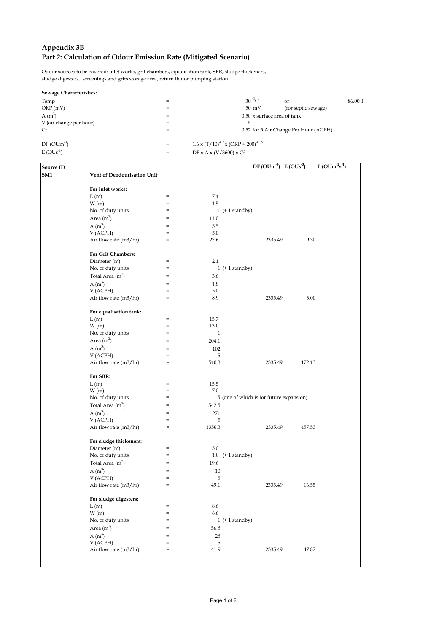## **Appendix 3B Part 2: Calculation of Odour Emission Rate (Mitigated Scenario)**

Odour sources to be covered: inlet works, grit chambers, equalisation tank, SBR, sludge thickeners, sludge digesters, screenings and grits storage area, return liquor pumping station.

| Sewage Characteristics: |     |                                                      |                                       |         |
|-------------------------|-----|------------------------------------------------------|---------------------------------------|---------|
| Temp                    | $=$ | $30^{\circ}$ C                                       | $\alpha$ r                            | 86.00 F |
| ORP(mV)                 | $=$ | $50 \text{ mV}$                                      | (for septic sewage)                   |         |
| $A(m^3)$                | $=$ | $0.50$ x surface area of tank                        |                                       |         |
| V (air change per hour) | $=$ | 5                                                    |                                       |         |
| Cf                      | $=$ |                                                      | 0.52 for 5 Air Change Per Hour (ACPH) |         |
| $DF(OUm^3)$             | $=$ | $1.6 \times (T/10)^{4.9} \times (ORP + 200)^{-0.59}$ |                                       |         |
| $E(OUs-1)$              | $=$ | DF x A x $(V/3600)$ x Cf                             |                                       |         |

| Source ID       |                             |                                   |                       | $DF(OUm-3)$ $E(OUs-3)$                   | $E (OUm-2s-1)$ |
|-----------------|-----------------------------|-----------------------------------|-----------------------|------------------------------------------|----------------|
| SM <sub>1</sub> | Vent of Deodourisation Unit |                                   |                       |                                          |                |
|                 |                             |                                   |                       |                                          |                |
|                 | For inlet works:            |                                   |                       |                                          |                |
|                 | L(m)                        | $=$                               | 7.4                   |                                          |                |
|                 | W(m)                        | $=$                               | 1.5                   |                                          |                |
|                 | No. of duty units           | $=$                               | $1 (+ 1 standard by)$ |                                          |                |
|                 | Area $(m2)$                 | $=$                               | 11.0                  |                                          |                |
|                 | $A(m^3)$                    | $=$                               | 5.5                   |                                          |                |
|                 | V (ACPH)                    | $=$                               | 5.0                   |                                          |                |
|                 | Air flow rate (m3/hr)       | $=$                               | 27.6                  | 2335.49                                  | 9.30           |
|                 |                             |                                   |                       |                                          |                |
|                 | <b>For Grit Chambers:</b>   |                                   |                       |                                          |                |
|                 | Diameter (m)                | $=$                               | 2.1                   |                                          |                |
|                 | No. of duty units           | $=$                               | 1 $(+ 1$ standby)     |                                          |                |
|                 | Total Area $(m2)$           | $=$                               | 3.6                   |                                          |                |
|                 | $A(m^3)$                    | $=$                               | 1.8                   |                                          |                |
|                 | V (ACPH)                    | $=$                               | 5.0                   |                                          |                |
|                 | Air flow rate (m3/hr)       | $=$                               | 8.9                   | 2335.49                                  | 3.00           |
|                 |                             |                                   |                       |                                          |                |
|                 | For equalisation tank:      |                                   |                       |                                          |                |
|                 | L(m)                        | $\quad =$                         | 15.7                  |                                          |                |
|                 | W(m)                        | $=$                               | 13.0                  |                                          |                |
|                 | No. of duty units           | $=$                               | $\mathbf{1}$          |                                          |                |
|                 | Area $(m2)$                 | $=$                               | 204.1                 |                                          |                |
|                 | $A(m^3)$                    | $=$                               | 102                   |                                          |                |
|                 | V (ACPH)                    | $=$                               | 5                     |                                          |                |
|                 | Air flow rate (m3/hr)       | $\quad =$                         | 510.3                 | 2335.49                                  | 172.13         |
|                 |                             |                                   |                       |                                          |                |
|                 | For SBR:                    |                                   |                       |                                          |                |
|                 | L(m)                        | $\quad = \quad$                   | 15.5                  |                                          |                |
|                 | W(m)                        | $=$                               | 7.0                   |                                          |                |
|                 | No. of duty units           | $=$                               |                       | 5 (one of which is for future expansion) |                |
|                 | Total Area $(m2)$           | $=$                               | 542.5                 |                                          |                |
|                 | $A(m^3)$                    | $=$                               | 271                   |                                          |                |
|                 | V (ACPH)                    | $\quad = \quad$                   | 5                     |                                          |                |
|                 | Air flow rate (m3/hr)       | $=$                               | 1356.3                | 2335.49                                  | 457.53         |
|                 |                             |                                   |                       |                                          |                |
|                 | For sludge thickeners:      |                                   |                       |                                          |                |
|                 | Diameter (m)                | $\quad = \quad$                   | 5.0                   |                                          |                |
|                 | No. of duty units           | $=$                               | $1.0$ (+ 1 standby)   |                                          |                |
|                 | Total Area $(m2)$           | $=$                               | 19.6                  |                                          |                |
|                 | $A(m^3)$                    | $=$                               | 10                    |                                          |                |
|                 | V (ACPH)                    | $=$                               | 5                     |                                          |                |
|                 | Air flow rate (m3/hr)       | $\hspace{1.0cm} = \hspace{1.0cm}$ | 49.1                  | 2335.49                                  | 16.55          |
|                 |                             |                                   |                       |                                          |                |
|                 | For sludge digesters:       |                                   |                       |                                          |                |
|                 | L(m)                        | $=$                               | $8.6\,$               |                                          |                |
|                 | W(m)                        | $=$                               | 6.6                   |                                          |                |
|                 | No. of duty units           | $=$                               | $1 (+ 1 standard by)$ |                                          |                |
|                 | Area $(m2)$                 | $=$                               | 56.8                  |                                          |                |
|                 | A $(m^3)$                   | $=$                               | 28                    |                                          |                |
|                 | V (ACPH)                    |                                   |                       |                                          |                |
|                 | Air flow rate (m3/hr)       | $=$                               | 5<br>141.9            | 2335.49                                  | 47.87          |
|                 |                             |                                   |                       |                                          |                |
|                 |                             |                                   |                       |                                          |                |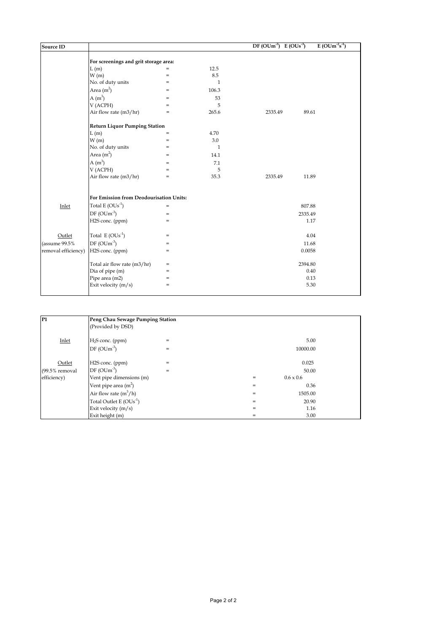| <b>Source ID</b>    |                                         |            |       | $DF(OUm-3)$ $E(OUs-3)$ |         | $E(OUm-2s-1)$ |
|---------------------|-----------------------------------------|------------|-------|------------------------|---------|---------------|
|                     | For screenings and grit storage area:   |            |       |                        |         |               |
|                     | L(m)                                    | $=$        | 12.5  |                        |         |               |
|                     | W(m)                                    | $=$        | 8.5   |                        |         |               |
|                     | No. of duty units                       | $=$        | 1     |                        |         |               |
|                     | Area $(m2)$                             | $=$        | 106.3 |                        |         |               |
|                     | A $(m^3)$                               | $=$        | 53    |                        |         |               |
|                     |                                         |            | 5     |                        |         |               |
|                     | V (ACPH)<br>Air flow rate (m3/hr)       | $=$<br>$=$ | 265.6 | 2335.49                | 89.61   |               |
|                     |                                         |            |       |                        |         |               |
|                     | <b>Return Liquor Pumping Station</b>    |            |       |                        |         |               |
|                     | L(m)                                    | $=$        | 4.70  |                        |         |               |
|                     | W(m)                                    | $=$        | 3.0   |                        |         |               |
|                     | No. of duty units                       | $=$        | 1     |                        |         |               |
|                     | Area $(m2)$                             | $=$        | 14.1  |                        |         |               |
|                     | $A(m^3)$                                | $=$        | 7.1   |                        |         |               |
|                     | V (ACPH)                                | $=$        | 5     |                        |         |               |
|                     | Air flow rate (m3/hr)                   | $=$        | 35.3  | 2335.49                | 11.89   |               |
|                     | For Emission from Deodourisation Units: |            |       |                        |         |               |
| Inlet               | Total E $(OUs^{-1})$                    | $=$        |       |                        | 807.88  |               |
|                     | $DF(OUm^{-3})$                          | $=$        |       |                        | 2335.49 |               |
|                     | H2S conc. (ppm)                         | $=$        |       |                        | 1.17    |               |
|                     |                                         |            |       |                        |         |               |
| Outlet              | Total $E(OUs^{-1})$                     | $=$        |       |                        | 4.04    |               |
| (assume 99.5%       | $DF(OUm^{-3})$                          | $=$        |       |                        | 11.68   |               |
| removal efficiency) | H2S conc. (ppm)                         | $=$        |       |                        | 0.0058  |               |
|                     | Total air flow rate (m3/hr)             | $=$        |       |                        | 2394.80 |               |
|                     | Dia of pipe (m)                         | $=$        |       |                        | 0.40    |               |
|                     | Pipe area (m2)                          | $=$        |       |                        | 0.13    |               |
|                     | Exit velocity (m/s)                     | $=$        |       |                        | 5.30    |               |
|                     |                                         |            |       |                        |         |               |

| P <sub>1</sub>   | Peng Chau Sewage Pumping Station |     |     |                  |  |
|------------------|----------------------------------|-----|-----|------------------|--|
|                  | (Provided by DSD)                |     |     |                  |  |
| Inlet            | H <sub>2</sub> S conc. (ppm)     | $=$ |     | 5.00             |  |
|                  | $DF(OUm-3)$                      | $=$ |     | 10000.00         |  |
| Outlet           | H2S conc. (ppm)                  | $=$ |     | 0.025            |  |
| $(99.5%$ removal | $DF(OUm-3)$                      | $=$ |     | 50.00            |  |
| efficiency)      | Vent pipe dimensions (m)         |     | $=$ | $0.6 \times 0.6$ |  |
|                  | Vent pipe area $(m2)$            |     | $=$ | 0.36             |  |
|                  | Air flow rate $(m^3/h)$          |     | $=$ | 1505.00          |  |
|                  | Total Outlet E $(OUs^{-1})$      |     | $=$ | 20.90            |  |
|                  | Exit velocity $(m/s)$            |     | $=$ | 1.16             |  |
|                  | Exit height (m)                  |     | $=$ | 3.00             |  |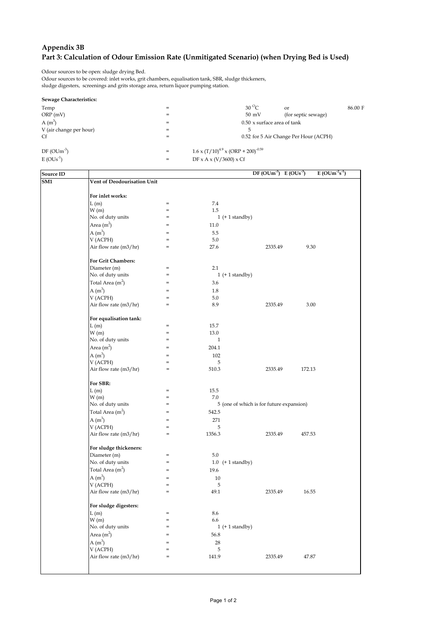## **Appendix 3B Part 3: Calculation of Odour Emission Rate (Unmitigated Scenario) (when Drying Bed is Used)**

Odour sources to be open: sludge drying Bed.

Odour sources to be covered: inlet works, grit chambers, equalisation tank, SBR, sludge thickeners, sludge digesters, screenings and grits storage area, return liquor pumping station.

|  | Sewage Characteristics: |
|--|-------------------------|
|--|-------------------------|

| <b><i>OCWAGE CHARGELISHES.</i></b> |     |                                                      |
|------------------------------------|-----|------------------------------------------------------|
| Temp                               | $=$ | $30^{\circ}$ C<br>86.00 F<br>$\alpha$ <sup>r</sup>   |
| ORP(mV)                            | $=$ | $50 \text{ mV}$<br>(for septic sewage)               |
| $A(m^3)$                           | $=$ | 0.50 x surface area of tank                          |
| V (air change per hour)            | $=$ | 5                                                    |
| Cf                                 | $=$ | 0.52 for 5 Air Change Per Hour (ACPH)                |
| $DF(OUm-3)$                        | $=$ | $1.6 \times (T/10)^{4.9} \times (ORP + 200)^{-0.59}$ |
| $E(OUs-1)$                         | $=$ | DF x A x $(V/3600)$ x Cf                             |
|                                    |     |                                                      |

| <b>Source ID</b> |                             |                   |                       | DF (OUm <sup>-3</sup> ) E (OUs <sup>-3</sup> ) | $E(OUm-2s-1)$ |  |
|------------------|-----------------------------|-------------------|-----------------------|------------------------------------------------|---------------|--|
| SM1              | Vent of Deodourisation Unit |                   |                       |                                                |               |  |
|                  |                             |                   |                       |                                                |               |  |
|                  | For inlet works:            |                   |                       |                                                |               |  |
|                  | L(m)                        | $=$               | 7.4                   |                                                |               |  |
|                  | W(m)                        | $=$               | 1.5                   |                                                |               |  |
|                  | No. of duty units           | $=$               | $1 (+ 1 standard by)$ |                                                |               |  |
|                  | Area $(m2)$                 | $=$               | 11.0                  |                                                |               |  |
|                  | A $(m^3)$                   | $=$               | 5.5                   |                                                |               |  |
|                  | V (ACPH)                    | $=$               | 5.0                   |                                                |               |  |
|                  | Air flow rate (m3/hr)       | $=$               | 27.6                  | 2335.49                                        | 9.30          |  |
|                  |                             |                   |                       |                                                |               |  |
|                  | For Grit Chambers:          |                   |                       |                                                |               |  |
|                  | Diameter (m)                | $=$               | 2.1                   |                                                |               |  |
|                  | No. of duty units           | $=$               | $1 (+ 1 standard by)$ |                                                |               |  |
|                  | Total Area $(m2)$           | $=$               | 3.6                   |                                                |               |  |
|                  | $A(m^3)$                    | $=$               | 1.8                   |                                                |               |  |
|                  | V (ACPH)                    | $=$               | 5.0                   |                                                |               |  |
|                  | Air flow rate (m3/hr)       | $=$               | 8.9                   | 2335.49                                        | 3.00          |  |
|                  |                             |                   |                       |                                                |               |  |
|                  | For equalisation tank:      |                   |                       |                                                |               |  |
|                  | L(m)                        | $=$               | 15.7                  |                                                |               |  |
|                  | W(m)                        | $=$               | 13.0                  |                                                |               |  |
|                  | No. of duty units           | $=$               | $\mathbf{1}$          |                                                |               |  |
|                  | Area $(m^2)$                | $=$               |                       |                                                |               |  |
|                  |                             |                   | 204.1                 |                                                |               |  |
|                  | $A(m^3)$                    | $=$               | 102                   |                                                |               |  |
|                  | V (ACPH)                    | $=$               | 5                     |                                                |               |  |
|                  | Air flow rate (m3/hr)       | $\qquad \qquad =$ | 510.3                 | 2335.49                                        | 172.13        |  |
|                  | For SBR:                    |                   |                       |                                                |               |  |
|                  |                             | $=$               |                       |                                                |               |  |
|                  | L(m)                        | $=$               | 15.5<br>7.0           |                                                |               |  |
|                  | W(m)                        | $=$               |                       | 5 (one of which is for future expansion)       |               |  |
|                  | No. of duty units           |                   |                       |                                                |               |  |
|                  | Total Area $(m2)$           | $=$               | 542.5                 |                                                |               |  |
|                  | $A(m^3)$                    | $=$               | 271                   |                                                |               |  |
|                  | V (ACPH)                    | $=$               | 5                     |                                                |               |  |
|                  | Air flow rate (m3/hr)       | $\quad =$         | 1356.3                | 2335.49                                        | 457.53        |  |
|                  |                             |                   |                       |                                                |               |  |
|                  | For sludge thickeners:      |                   |                       |                                                |               |  |
|                  | Diameter (m)                | $=$               | 5.0                   |                                                |               |  |
|                  | No. of duty units           | $=$               | $1.0$ (+ 1 standby)   |                                                |               |  |
|                  | Total Area $(m2)$           | $=$               | 19.6                  |                                                |               |  |
|                  | A $(m^3)$                   | $=$               | 10                    |                                                |               |  |
|                  | V (ACPH)                    | $=$               | 5                     |                                                |               |  |
|                  | Air flow rate (m3/hr)       | $=$               | 49.1                  | 2335.49                                        | 16.55         |  |
|                  |                             |                   |                       |                                                |               |  |
|                  | For sludge digesters:       |                   |                       |                                                |               |  |
|                  | L(m)                        | $=$               | 8.6                   |                                                |               |  |
|                  | W(m)                        |                   | 6.6                   |                                                |               |  |
|                  | No. of duty units           |                   | $1 (+ 1 standard by)$ |                                                |               |  |
|                  | Area $(m2)$                 |                   | 56.8                  |                                                |               |  |
|                  | $A(m^3)$                    | $=$               | 28                    |                                                |               |  |
|                  | V (ACPH)                    | $=$               | 5                     |                                                |               |  |
|                  | Air flow rate (m3/hr)       | $=$               | 141.9                 | 2335.49                                        | 47.87         |  |
|                  |                             |                   |                       |                                                |               |  |
|                  |                             |                   |                       |                                                |               |  |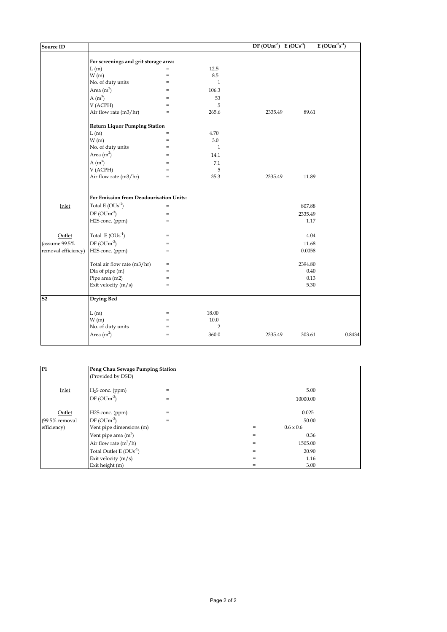| <b>Source ID</b>         |                                         |                                   |                | $DF(OUm^3) E(OUs^3)$ |         | $E(OUm^{-2}s^{-1})$ |
|--------------------------|-----------------------------------------|-----------------------------------|----------------|----------------------|---------|---------------------|
|                          | For screenings and grit storage area:   |                                   |                |                      |         |                     |
|                          | L(m)                                    | $=$                               | 12.5           |                      |         |                     |
|                          | W(m)                                    | $=$                               | 8.5            |                      |         |                     |
|                          | No. of duty units                       | $\quad =$                         | $\mathbf{1}$   |                      |         |                     |
|                          | Area $(m2)$                             | $=$                               | 106.3          |                      |         |                     |
|                          | $A(m^3)$                                | $=$                               | 53             |                      |         |                     |
|                          | V (ACPH)                                | $=$                               | 5              |                      |         |                     |
|                          | Air flow rate (m3/hr)                   | $\hspace{1.0cm} = \hspace{1.0cm}$ | 265.6          | 2335.49              | 89.61   |                     |
|                          | <b>Return Liquor Pumping Station</b>    |                                   |                |                      |         |                     |
|                          | L(m)                                    | $=$                               | 4.70           |                      |         |                     |
|                          | W(m)                                    | $=$                               | 3.0            |                      |         |                     |
|                          | No. of duty units                       | $=$                               | $\mathbf{1}$   |                      |         |                     |
|                          | Area $(m2)$                             | $=$                               | 14.1           |                      |         |                     |
|                          | $A(m^3)$                                | $=$                               | 7.1            |                      |         |                     |
|                          | V (ACPH)                                | $=$                               | 5              |                      |         |                     |
|                          | Air flow rate (m3/hr)                   | $=$                               | 35.3           | 2335.49              | 11.89   |                     |
|                          | For Emission from Deodourisation Units: |                                   |                |                      |         |                     |
|                          | Total $E(OUs^{-1})$                     | $\quad =$                         |                |                      | 807.88  |                     |
| Inlet                    |                                         |                                   |                |                      |         |                     |
|                          | $DF(OUm^{-3})$                          | $\qquad \qquad =$<br>$=$          |                |                      | 2335.49 |                     |
|                          | H2S conc. (ppm)                         |                                   |                |                      | 1.17    |                     |
| Outlet                   | Total $E(OUs^{-1})$                     | $=$                               |                |                      | 4.04    |                     |
| (assume 99.5%            | $DF(OUm-3)$                             | $=$                               |                |                      | 11.68   |                     |
| removal efficiency)      | H2S conc. (ppm)                         | $\quad =$                         |                |                      | 0.0058  |                     |
|                          | Total air flow rate (m3/hr)             | $=$                               |                |                      | 2394.80 |                     |
|                          | Dia of pipe (m)                         | $=$                               |                |                      | 0.40    |                     |
|                          | Pipe area (m2)                          | $\quad =$                         |                |                      | 0.13    |                     |
|                          | Exit velocity (m/s)                     | $=$                               |                |                      | 5.30    |                     |
| $\overline{\textbf{S2}}$ | <b>Drying Bed</b>                       |                                   |                |                      |         |                     |
|                          | L(m)                                    | $=$                               | 18.00          |                      |         |                     |
|                          | W(m)                                    | $=$                               | 10.0           |                      |         |                     |
|                          | No. of duty units                       | $\hspace{1.0cm} = \hspace{1.0cm}$ | $\overline{2}$ |                      |         |                     |
|                          | Area $(m2)$                             | $\hspace{1.0cm} = \hspace{1.0cm}$ | 360.0          | 2335.49              | 303.61  | 0.8434              |

| P <sub>1</sub>   | Peng Chau Sewage Pumping Station |     |     |                  |  |  |  |
|------------------|----------------------------------|-----|-----|------------------|--|--|--|
|                  | (Provided by DSD)                |     |     |                  |  |  |  |
| Inlet            | $H2S$ conc. (ppm)                | $=$ |     | 5.00             |  |  |  |
|                  | $DF(OUm^3)$                      | $=$ |     | 10000.00         |  |  |  |
| Outlet           | H2S conc. (ppm)                  | $=$ |     | 0.025            |  |  |  |
| $(99.5%$ removal | $DF(OUm^{-3})$                   | $=$ |     | 50.00            |  |  |  |
| efficiency)      | Vent pipe dimensions (m)         |     | $=$ | $0.6 \times 0.6$ |  |  |  |
|                  | Vent pipe area $(m2)$            |     | $=$ | 0.36             |  |  |  |
|                  | Air flow rate $(m^3/h)$          |     | $=$ | 1505.00          |  |  |  |
|                  | Total Outlet E $(OUs^{-1})$      |     | $=$ | 20.90            |  |  |  |
|                  | Exit velocity $(m/s)$            |     | $=$ | 1.16             |  |  |  |
|                  | Exit height (m)                  |     | $=$ | 3.00             |  |  |  |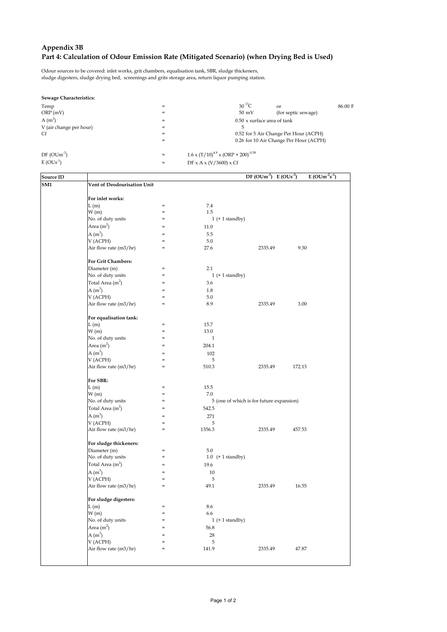#### **Appendix 3B Part 4: Calculation of Odour Emission Rate (Mitigated Scenario) (when Drying Bed is Used)**

Odour sources to be covered: inlet works, grit chambers, equalisation tank, SBR, sludge thickeners, sludge digesters, sludge drying bed, screenings and grits storage area, return liquor pumping station.

#### **Sewage Characteristics:**

| Temp                      | $=$        |                                                                                | $30^{\circ}$ C                     | or                                     | 86.00 F |  |
|---------------------------|------------|--------------------------------------------------------------------------------|------------------------------------|----------------------------------------|---------|--|
| ORP(mV)                   | $=$        |                                                                                | $50 \text{ mV}$                    | (for septic sewage)                    |         |  |
| $A(m^3)$                  | $=$        |                                                                                | $0.50 \times$ surface area of tank |                                        |         |  |
| V (air change per hour)   | $=$        |                                                                                | 5                                  |                                        |         |  |
| Cf<br>=                   |            |                                                                                |                                    | 0.52 for 5 Air Change Per Hour (ACPH)  |         |  |
|                           | $=$        |                                                                                |                                    | 0.26 for 10 Air Change Per Hour (ACPH) |         |  |
| $DF(OUm-3)$<br>$E(OUs-1)$ | $=$<br>$=$ | $1.6 \times (T/10)^{4.9} \times (ORP + 200)^{-0.59}$<br>DF x A x (V/3600) x Cf |                                    |                                        |         |  |
|                           |            |                                                                                |                                    |                                        |         |  |

| <b>Source ID</b> |                             |     |                       | $DF(OUm^{-3})$ $E(OUs^{-3})$             |        | $E(OUm^{-2}s^{-1})$ |
|------------------|-----------------------------|-----|-----------------------|------------------------------------------|--------|---------------------|
| SM1              | Vent of Deodourisation Unit |     |                       |                                          |        |                     |
|                  |                             |     |                       |                                          |        |                     |
|                  | For inlet works:            |     |                       |                                          |        |                     |
|                  | L(m)                        | $=$ | 7.4                   |                                          |        |                     |
|                  | W(m)                        | $=$ | 1.5                   |                                          |        |                     |
|                  | No. of duty units           | $=$ | $1 (+ 1 standard by)$ |                                          |        |                     |
|                  | Area $(m2)$                 | $=$ | 11.0                  |                                          |        |                     |
|                  | $A(m^3)$                    | $=$ | 5.5                   |                                          |        |                     |
|                  | V (ACPH)                    |     | 5.0                   |                                          |        |                     |
|                  | Air flow rate (m3/hr)       | $=$ | 27.6                  | 2335.49                                  | 9.30   |                     |
|                  |                             |     |                       |                                          |        |                     |
|                  | For Grit Chambers:          |     |                       |                                          |        |                     |
|                  | Diameter (m)                | $=$ | 2.1                   |                                          |        |                     |
|                  | No. of duty units           | $=$ | $1 (+ 1 standard by)$ |                                          |        |                     |
|                  | Total Area $(m2)$           | $=$ | 3.6                   |                                          |        |                     |
|                  | A $(m^3)$                   | $=$ | 1.8                   |                                          |        |                     |
|                  | V (ACPH)                    | $=$ | 5.0                   |                                          |        |                     |
|                  | Air flow rate (m3/hr)       | $=$ | 8.9                   | 2335.49                                  | 3.00   |                     |
|                  |                             |     |                       |                                          |        |                     |
|                  | For equalisation tank:      |     |                       |                                          |        |                     |
|                  | L(m)                        | $=$ | 15.7                  |                                          |        |                     |
|                  | W(m)                        | $=$ | 13.0                  |                                          |        |                     |
|                  | No. of duty units           | $=$ | $\mathbf{1}$          |                                          |        |                     |
|                  |                             | $=$ |                       |                                          |        |                     |
|                  | Area $(m2)$                 |     | 204.1                 |                                          |        |                     |
|                  | $A(m^3)$                    | $=$ | 102                   |                                          |        |                     |
|                  | V (ACPH)                    | $=$ | 5                     |                                          |        |                     |
|                  | Air flow rate (m3/hr)       | $=$ | 510.3                 | 2335.49                                  | 172.13 |                     |
|                  |                             |     |                       |                                          |        |                     |
|                  | For SBR:                    |     |                       |                                          |        |                     |
|                  | L(m)                        | $=$ | 15.5                  |                                          |        |                     |
|                  | W(m)                        | $=$ | 7.0                   |                                          |        |                     |
|                  | No. of duty units           | $=$ |                       | 5 (one of which is for future expansion) |        |                     |
|                  | Total Area $(m2)$           | $=$ | 542.5                 |                                          |        |                     |
|                  | A $(m^3)$                   | $=$ | 271                   |                                          |        |                     |
|                  | V (ACPH)                    | $=$ | 5                     |                                          |        |                     |
|                  | Air flow rate (m3/hr)       | $=$ | 1356.3                | 2335.49                                  | 457.53 |                     |
|                  |                             |     |                       |                                          |        |                     |
|                  | For sludge thickeners:      |     |                       |                                          |        |                     |
|                  | Diameter (m)                | $=$ | 5.0                   |                                          |        |                     |
|                  | No. of duty units           | $=$ | $1.0$ (+ 1 standby)   |                                          |        |                     |
|                  | Total Area $(m2)$           | $=$ | 19.6                  |                                          |        |                     |
|                  | $A(m^3)$                    | $=$ | 10                    |                                          |        |                     |
|                  | V (ACPH)                    | $=$ | 5                     |                                          |        |                     |
|                  | Air flow rate (m3/hr)       | $=$ | 49.1                  | 2335.49                                  | 16.55  |                     |
|                  |                             |     |                       |                                          |        |                     |
|                  | For sludge digesters:       |     |                       |                                          |        |                     |
|                  | L(m)                        | $=$ | 8.6                   |                                          |        |                     |
|                  | W(m)                        | $=$ | 6.6                   |                                          |        |                     |
|                  | No. of duty units           | $=$ | $1 (+ 1 standard by)$ |                                          |        |                     |
|                  | Area $(m2)$                 | $=$ | 56.8                  |                                          |        |                     |
|                  | A $(m^3)$                   | $=$ | 28                    |                                          |        |                     |
|                  |                             | $=$ | 5                     |                                          |        |                     |
|                  | V (ACPH)                    | $=$ | 141.9                 | 2335.49                                  | 47.87  |                     |
|                  | Air flow rate (m3/hr)       |     |                       |                                          |        |                     |
|                  |                             |     |                       |                                          |        |                     |